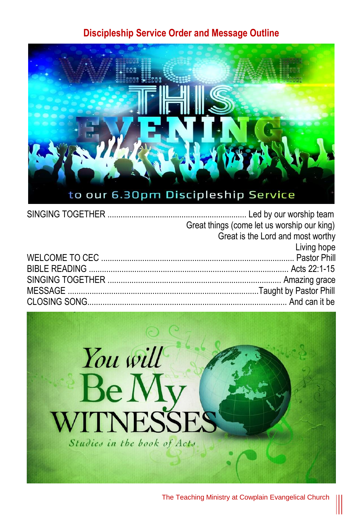## **Discipleship Service Order and Message Outline**



| Great things (come let us worship our king)  |
|----------------------------------------------|
| Great is the Lord and most worthy            |
| <b>Example 12 Service School</b> Living hope |
|                                              |
|                                              |
|                                              |
|                                              |
|                                              |
|                                              |



The Teaching Ministry at Cowplain Evangelical Church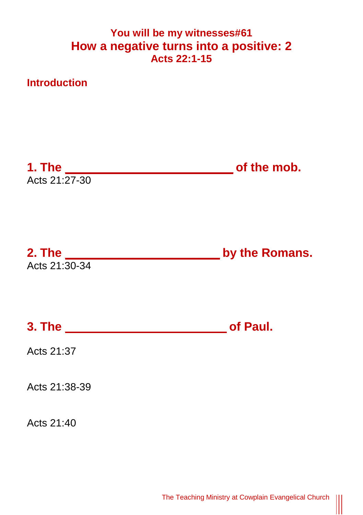## **You will be my witnesses#61 How a negative turns into a positive: 2 Acts 22:1-15**



 $\parallel$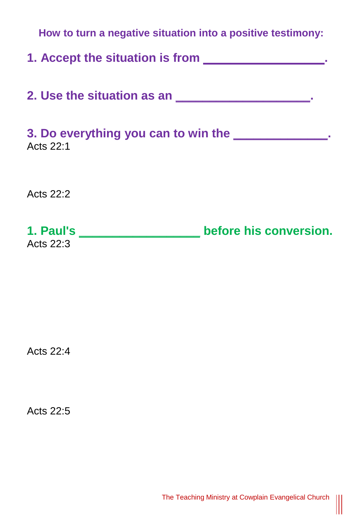| How to turn a negative situation into a positive testimony: |                        |
|-------------------------------------------------------------|------------------------|
| 1. Accept the situation is from                             |                        |
|                                                             |                        |
| 3. Do everything you can to win the<br>Acts 22:1            |                        |
| Acts 22:2                                                   |                        |
| 1. Paul's _____________<br>Acts 22:3                        | before his conversion. |

Acts 22:4

Acts 22:5